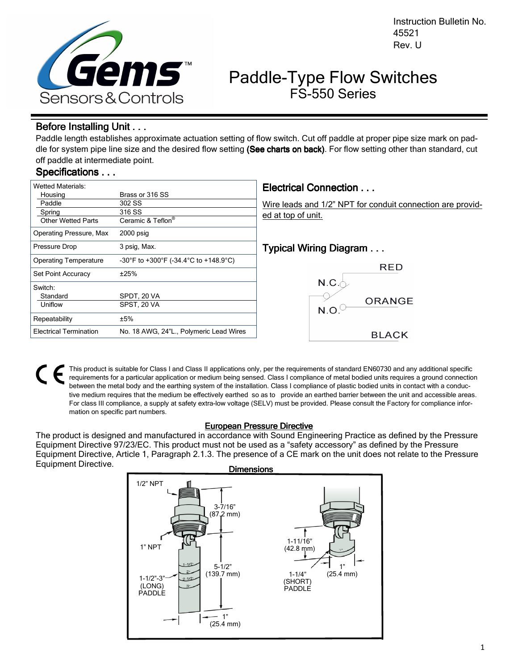

Instruction Bulletin No. 45521 Rev. U

# Paddle-Type Flow Switches FS-550 Series

## Before Installing Unit . . .

Paddle length establishes approximate actuation setting of flow switch. Cut off paddle at proper pipe size mark on paddle for system pipe line size and the desired flow setting (See charts on back). For flow setting other than standard, cut off paddle at intermediate point.

# Specifications . . .

| <b>Wetted Materials:</b>                                 |                                                                      | <b>Electrical Connection </b>                                                    |
|----------------------------------------------------------|----------------------------------------------------------------------|----------------------------------------------------------------------------------|
| Housing<br>Paddle<br>Spring<br><b>Other Wetted Parts</b> | Brass or 316 SS<br>302 SS<br>316 SS<br>Ceramic & Teflon <sup>®</sup> | Wire leads and 1/2" NPT for conduit connection are provid-<br>ed at top of unit. |
| Operating Pressure, Max                                  | $2000$ psig                                                          |                                                                                  |
| Pressure Drop                                            | 3 psig, Max.                                                         | Typical Wiring Diagram                                                           |
| <b>Operating Temperature</b>                             | -30°F to +300°F (-34.4°C to +148.9°C)                                | <b>RED</b>                                                                       |
| Set Point Accuracy                                       | ±25%                                                                 |                                                                                  |
| Switch:                                                  |                                                                      | N.C.                                                                             |
| Standard                                                 | SPDT. 20 VA                                                          |                                                                                  |
| Uniflow                                                  | SPST, 20 VA                                                          | ORANGE<br>N.O                                                                    |
| Repeatability                                            | ±5%                                                                  |                                                                                  |
| <b>Electrical Termination</b>                            | No. 18 AWG, 24"L., Polymeric Lead Wires                              | <b>BLACK</b>                                                                     |

This product is suitable for Class I and Class II applications only, per the requirements of standard EN60730 and any additional specific requirements for a particular application or medium being sensed. Class I compliance of metal bodied units requires a ground connection between the metal body and the earthing system of the installation. Class I compliance of plastic bodied units in contact with a conductive medium requires that the medium be effectively earthed so as to provide an earthed barrier between the unit and accessible areas. For class III compliance, a supply at safety extra-low voltage (SELV) must be provided. Please consult the Factory for compliance information on specific part numbers.

### **European Pressure Directive**

The product is designed and manufactured in accordance with Sound Engineering Practice as defined by the Pressure Equipment Directive 97/23/EC. This product must not be used as a "safety accessory" as defined by the Pressure Equipment Directive, Article 1, Paragraph 2.1.3. The presence of a CE mark on the unit does not relate to the Pressure Equipment Directive. **Dimensions**